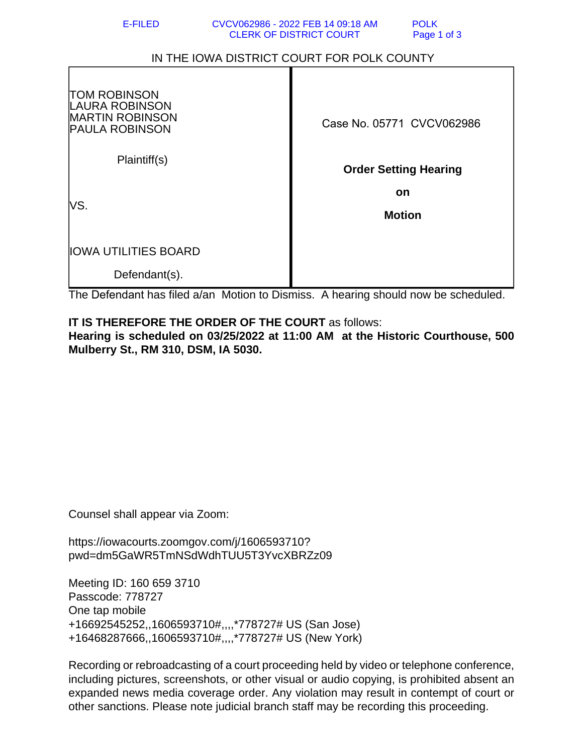## IN THE IOWA DISTRICT COURT FOR POLK COUNTY

| <b>TOM ROBINSON</b><br><b>LAURA ROBINSON</b><br><b>MARTIN ROBINSON</b><br><b>PAULA ROBINSON</b> | Case No. 05771 CVCV062986    |
|-------------------------------------------------------------------------------------------------|------------------------------|
| Plaintiff(s)                                                                                    | <b>Order Setting Hearing</b> |
| VS.                                                                                             | <b>on</b>                    |
|                                                                                                 | <b>Motion</b>                |
| <b>IOWA UTILITIES BOARD</b>                                                                     |                              |
| Defendant(s).                                                                                   |                              |

The Defendant has filed a/an Motion to Dismiss. A hearing should now be scheduled.

## **IT IS THEREFORE THE ORDER OF THE COURT** as follows:

**Hearing is scheduled on 03/25/2022 at 11:00 AM at the Historic Courthouse, 500 Mulberry St., RM 310, DSM, IA 5030.**

Counsel shall appear via Zoom:

https://iowacourts.zoomgov.com/j/1606593710? pwd=dm5GaWR5TmNSdWdhTUU5T3YvcXBRZz09

Meeting ID: 160 659 3710 Passcode: 778727 One tap mobile +16692545252,,1606593710#,,,,\*778727# US (San Jose) +16468287666,,1606593710#,,,,\*778727# US (New York)

Recording or rebroadcasting of a court proceeding held by video or telephone conference, including pictures, screenshots, or other visual or audio copying, is prohibited absent an expanded news media coverage order. Any violation may result in contempt of court or other sanctions. Please note judicial branch staff may be recording this proceeding.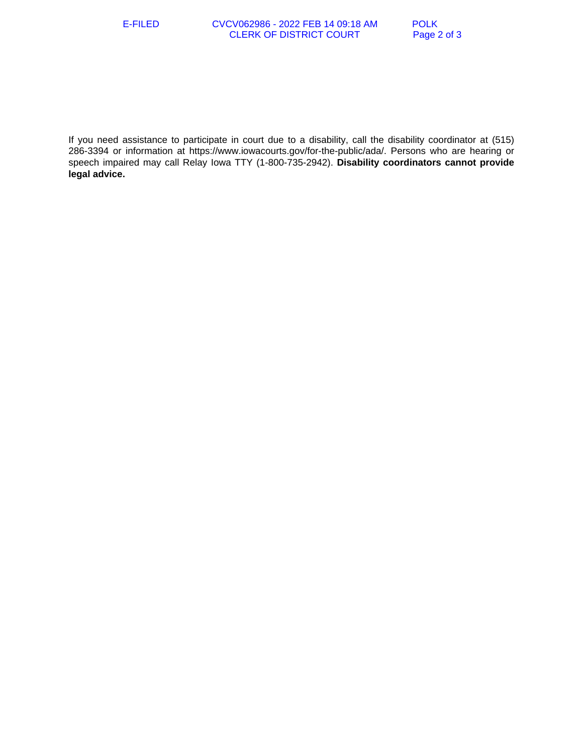If you need assistance to participate in court due to a disability, call the disability coordinator at (515) 286-3394 or information at https://www.iowacourts.gov/for-the-public/ada/. Persons who are hearing or speech impaired may call Relay Iowa TTY (1-800-735-2942). **Disability coordinators cannot provide legal advice.**